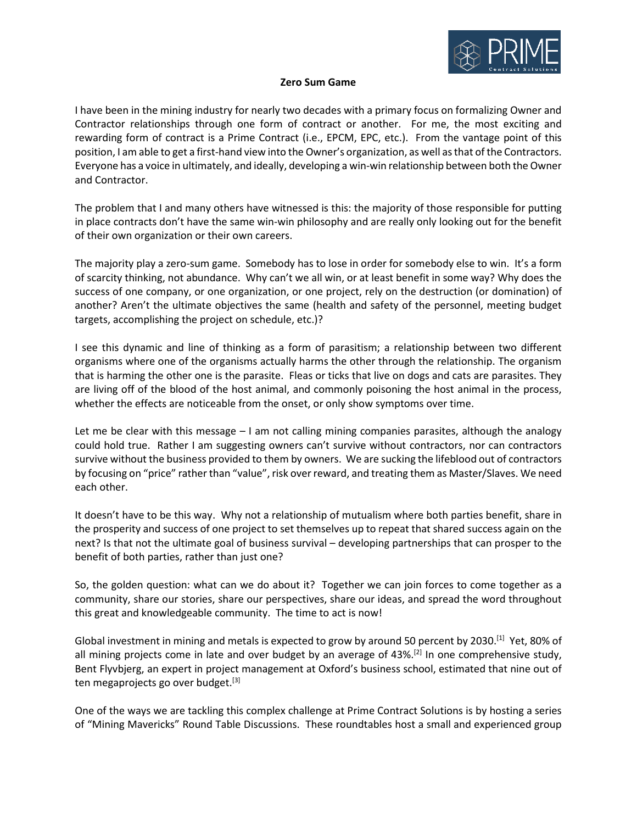

## **Zero Sum Game**

I have been in the mining industry for nearly two decades with a primary focus on formalizing Owner and Contractor relationships through one form of contract or another. For me, the most exciting and rewarding form of contract is a Prime Contract (i.e., EPCM, EPC, etc.). From the vantage point of this position, I am able to get a first-hand view into the Owner's organization, as well as that of the Contractors. Everyone has a voice in ultimately, and ideally, developing a win-win relationship between both the Owner and Contractor.

The problem that I and many others have witnessed is this: the majority of those responsible for putting in place contracts don't have the same win-win philosophy and are really only looking out for the benefit of their own organization or their own careers.

The majority play a zero-sum game. Somebody has to lose in order for somebody else to win. It's a form of scarcity thinking, not abundance. Why can't we all win, or at least benefit in some way? Why does the success of one company, or one organization, or one project, rely on the destruction (or domination) of another? Aren't the ultimate objectives the same (health and safety of the personnel, meeting budget targets, accomplishing the project on schedule, etc.)?

I see this dynamic and line of thinking as a form of parasitism; a relationship between two different organisms where one of the organisms actually harms the other through the relationship. The organism that is harming the other one is the parasite. Fleas or ticks that live on dogs and cats are parasites. They are living off of the blood of the host animal, and commonly poisoning the host animal in the process, whether the effects are noticeable from the onset, or only show symptoms over time.

Let me be clear with this message – I am not calling mining companies parasites, although the analogy could hold true. Rather I am suggesting owners can't survive without contractors, nor can contractors survive without the business provided to them by owners. We are sucking the lifeblood out of contractors by focusing on "price" rather than "value", risk over reward, and treating them as Master/Slaves. We need each other.

It doesn't have to be this way. Why not a relationship of mutualism where both parties benefit, share in the prosperity and success of one project to set themselves up to repeat that shared success again on the next? Is that not the ultimate goal of business survival – developing partnerships that can prosper to the benefit of both parties, rather than just one?

So, the golden question: what can we do about it? Together we can join forces to come together as a community, share our stories, share our perspectives, share our ideas, and spread the word throughout this great and knowledgeable community. The time to act is now!

Global investment in mining and metals is expected to grow by around 50 percent by 2030.<sup>[1]</sup> Yet, 80% of all mining projects come in late and over budget by an average of 43%.<sup>[2]</sup> In one comprehensive study, Bent Flyvbjerg, an expert in project management at Oxford's business school, estimated that nine out of ten megaprojects go over budget.<sup>[3]</sup>

One of the ways we are tackling this complex challenge at Prime Contract Solutions is by hosting a series of "Mining Mavericks" Round Table Discussions. These roundtables host a small and experienced group